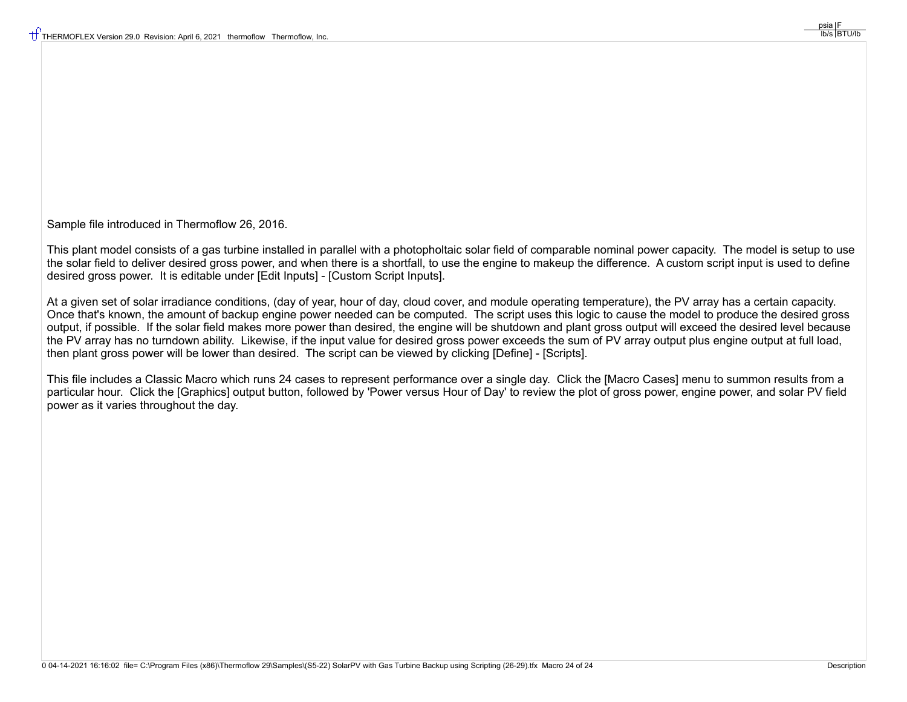Sample file introduced in Thermoflow 26, 2016.

This plant model consists of a gas turbine installed in parallel with a photopholtaic solar field of comparable nominal power capacity. The model is setup to use the solar field to deliver desired gross power, and when there is a shortfall, to use the engine to makeup the difference. A custom script input is used to define desired gross power. It is editable under [Edit Inputs] - [Custom Script Inputs].

At a given set of solar irradiance conditions, (day of year, hour of day, cloud cover, and module operating temperature), the PV array has a certain capacity. Once that's known, the amount of backup engine power needed can be computed. The script uses this logic to cause the model to produce the desired gross output, if possible. If the solar field makes more power than desired, the engine will be shutdown and plant gross output will exceed the desired level because the PV array has no turndown ability. Likewise, if the input value for desired gross power exceeds the sum of PV array output plus engine output at full load, then plant gross power will be lower than desired. The script can be viewed by clicking [Define] - [Scripts].

This file includes a Classic Macro which runs 24 cases to represent performance over a single day. Click the [Macro Cases] menu to summon results from a particular hour. Click the [Graphics] output button, followed by 'Power versus Hour of Day' to review the plot of gross power, engine power, and solar PV field power as it varies throughout the day.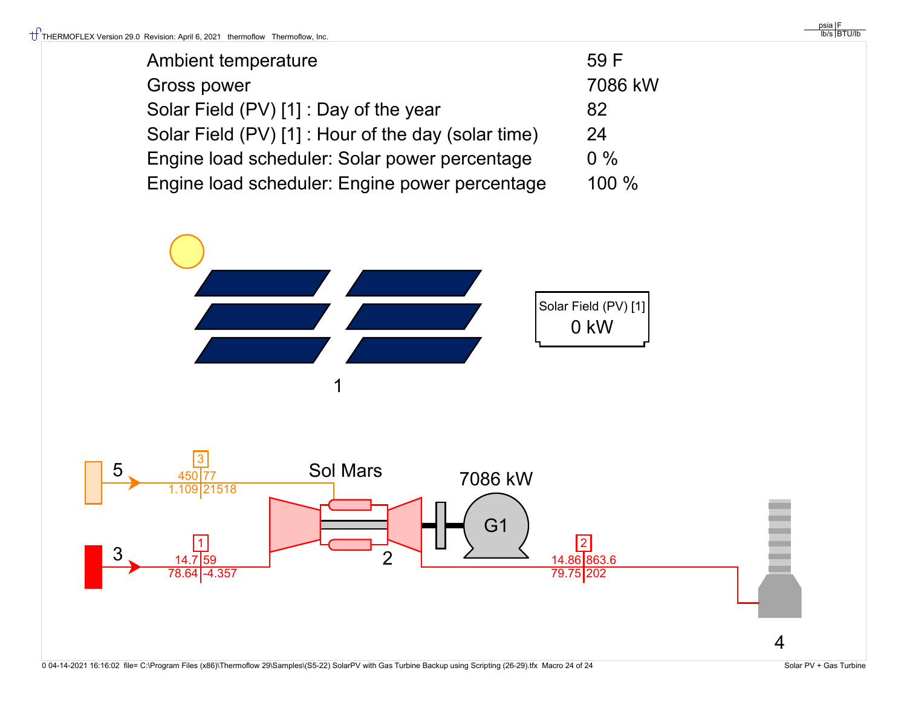| Ambient temperature                                 | 59 F    |
|-----------------------------------------------------|---------|
| <b>Gross power</b>                                  | 7086 kW |
| Solar Field (PV) [1] : Day of the year              | 82      |
| Solar Field (PV) [1] : Hour of the day (solar time) | 24      |
| Engine load scheduler: Solar power percentage       | $0\%$   |
| Engine load scheduler: Engine power percentage      | 100 %   |



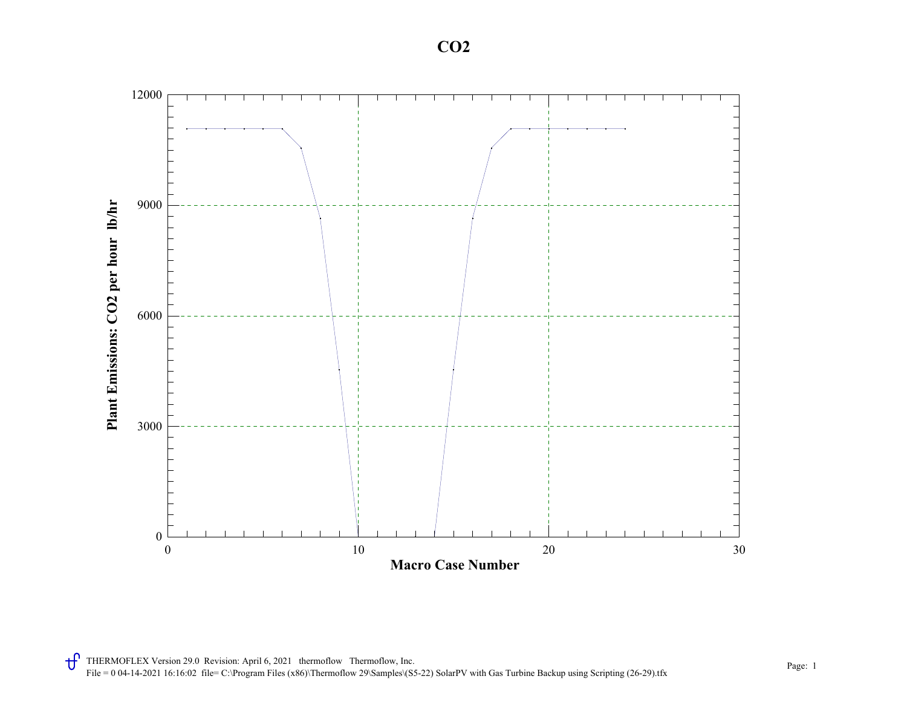